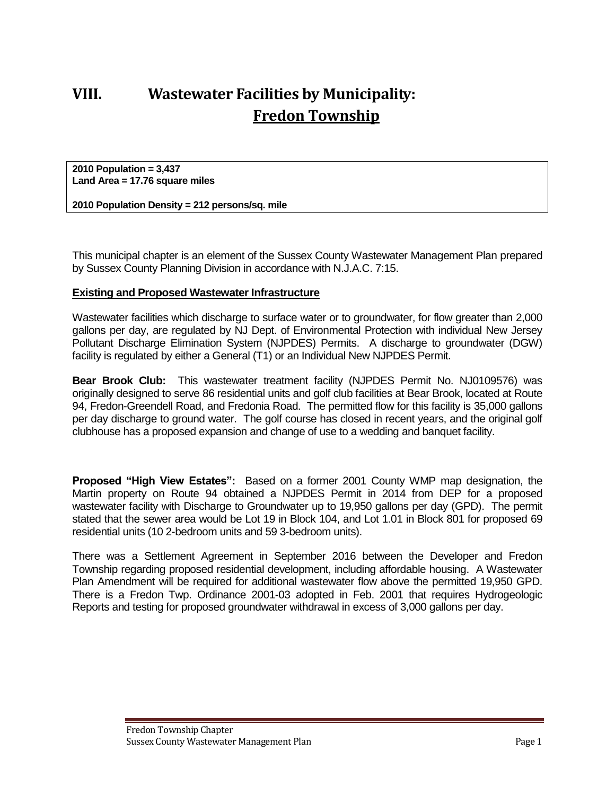# **VIII. Wastewater Facilities by Municipality: Fredon Township**

**2010 Population = 3,437 Land Area = 17.76 square miles**

**2010 Population Density = 212 persons/sq. mile**

This municipal chapter is an element of the Sussex County Wastewater Management Plan prepared by Sussex County Planning Division in accordance with N.J.A.C. 7:15.

### **Existing and Proposed Wastewater Infrastructure**

Wastewater facilities which discharge to surface water or to groundwater, for flow greater than 2,000 gallons per day, are regulated by NJ Dept. of Environmental Protection with individual New Jersey Pollutant Discharge Elimination System (NJPDES) Permits. A discharge to groundwater (DGW) facility is regulated by either a General (T1) or an Individual New NJPDES Permit.

**Bear Brook Club:** This wastewater treatment facility (NJPDES Permit No. NJ0109576) was originally designed to serve 86 residential units and golf club facilities at Bear Brook, located at Route 94, Fredon-Greendell Road, and Fredonia Road. The permitted flow for this facility is 35,000 gallons per day discharge to ground water. The golf course has closed in recent years, and the original golf clubhouse has a proposed expansion and change of use to a wedding and banquet facility.

**Proposed "High View Estates":** Based on a former 2001 County WMP map designation, the Martin property on Route 94 obtained a NJPDES Permit in 2014 from DEP for a proposed wastewater facility with Discharge to Groundwater up to 19,950 gallons per day (GPD). The permit stated that the sewer area would be Lot 19 in Block 104, and Lot 1.01 in Block 801 for proposed 69 residential units (10 2-bedroom units and 59 3-bedroom units).

There was a Settlement Agreement in September 2016 between the Developer and Fredon Township regarding proposed residential development, including affordable housing. A Wastewater Plan Amendment will be required for additional wastewater flow above the permitted 19,950 GPD. There is a Fredon Twp. Ordinance 2001-03 adopted in Feb. 2001 that requires Hydrogeologic Reports and testing for proposed groundwater withdrawal in excess of 3,000 gallons per day.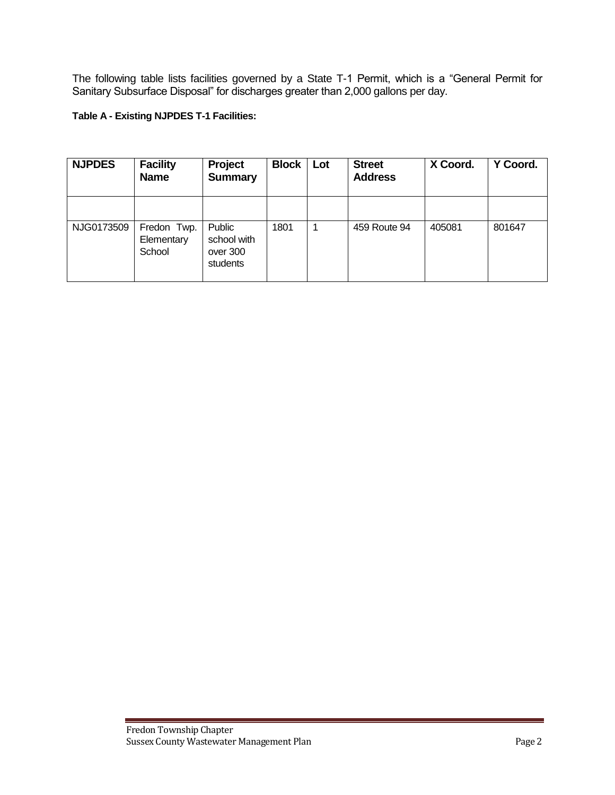The following table lists facilities governed by a State T-1 Permit, which is a "General Permit for Sanitary Subsurface Disposal" for discharges greater than 2,000 gallons per day.

#### **Table A - Existing NJPDES T-1 Facilities:**

| <b>NJPDES</b> | <b>Facility</b><br><b>Name</b>      | Project<br><b>Summary</b>                     | <b>Block</b> | Lot | <b>Street</b><br><b>Address</b> | X Coord. | Y Coord. |
|---------------|-------------------------------------|-----------------------------------------------|--------------|-----|---------------------------------|----------|----------|
|               |                                     |                                               |              |     |                                 |          |          |
| NJG0173509    | Fredon Twp.<br>Elementary<br>School | Public<br>school with<br>over 300<br>students | 1801         |     | 459 Route 94                    | 405081   | 801647   |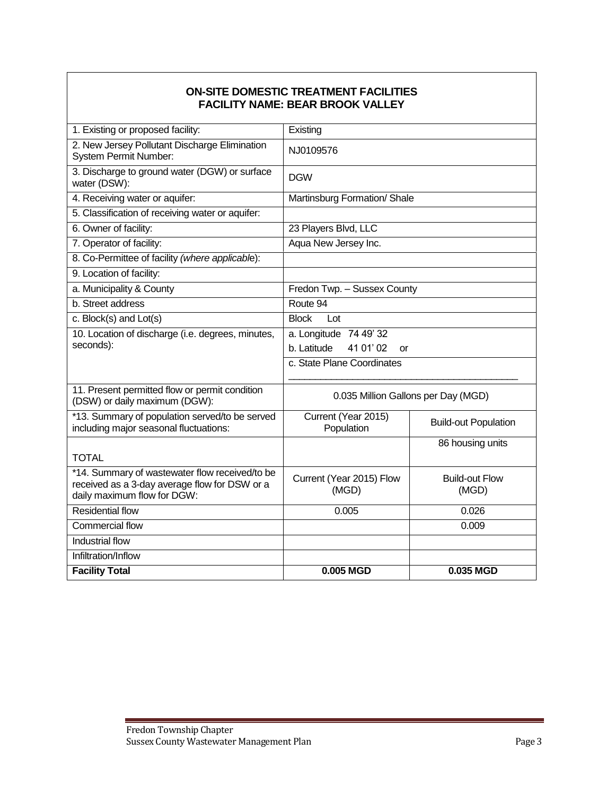## **ON-SITE DOMESTIC TREATMENT FACILITIES FACILITY NAME: BEAR BROOK VALLEY**

| 1. Existing or proposed facility:                                                                                              | Existing                                                 |                                |  |  |
|--------------------------------------------------------------------------------------------------------------------------------|----------------------------------------------------------|--------------------------------|--|--|
| 2. New Jersey Pollutant Discharge Elimination<br><b>System Permit Number:</b>                                                  | NJ0109576                                                |                                |  |  |
| 3. Discharge to ground water (DGW) or surface<br>water (DSW):                                                                  | <b>DGW</b>                                               |                                |  |  |
| 4. Receiving water or aquifer:                                                                                                 | Martinsburg Formation/ Shale                             |                                |  |  |
| 5. Classification of receiving water or aquifer:                                                                               |                                                          |                                |  |  |
| 6. Owner of facility:                                                                                                          | 23 Players Blvd, LLC                                     |                                |  |  |
| 7. Operator of facility:                                                                                                       | Aqua New Jersey Inc.                                     |                                |  |  |
| 8. Co-Permittee of facility (where applicable):                                                                                |                                                          |                                |  |  |
| 9. Location of facility:                                                                                                       |                                                          |                                |  |  |
| a. Municipality & County                                                                                                       | Fredon Twp. - Sussex County                              |                                |  |  |
| b. Street address                                                                                                              | Route 94                                                 |                                |  |  |
| c. Block(s) and Lot(s)                                                                                                         | <b>Block</b><br>Lot                                      |                                |  |  |
| 10. Location of discharge (i.e. degrees, minutes,<br>seconds):                                                                 | a. Longitude 74 49' 32<br>b. Latitude<br>41 01' 02<br>or |                                |  |  |
|                                                                                                                                | c. State Plane Coordinates                               |                                |  |  |
| 11. Present permitted flow or permit condition<br>(DSW) or daily maximum (DGW):                                                | 0.035 Million Gallons per Day (MGD)                      |                                |  |  |
| *13. Summary of population served/to be served<br>including major seasonal fluctuations:                                       | Current (Year 2015)<br>Population                        | <b>Build-out Population</b>    |  |  |
| <b>TOTAL</b>                                                                                                                   |                                                          | 86 housing units               |  |  |
| *14. Summary of wastewater flow received/to be<br>received as a 3-day average flow for DSW or a<br>daily maximum flow for DGW: | Current (Year 2015) Flow<br>(MGD)                        | <b>Build-out Flow</b><br>(MGD) |  |  |
| <b>Residential flow</b>                                                                                                        | 0.005                                                    | 0.026                          |  |  |
| Commercial flow                                                                                                                |                                                          | 0.009                          |  |  |
| <b>Industrial flow</b>                                                                                                         |                                                          |                                |  |  |
| Infiltration/Inflow                                                                                                            |                                                          |                                |  |  |
| <b>Facility Total</b>                                                                                                          | 0.005 MGD                                                | 0.035 MGD                      |  |  |